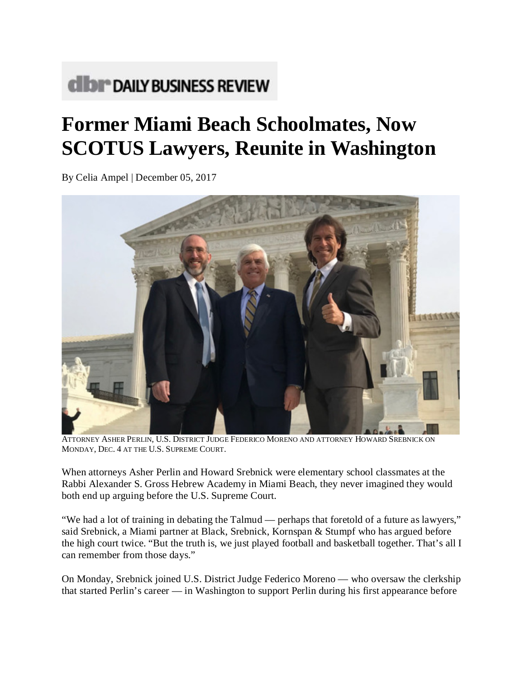## **CIDI<sup>®</sup> DAILY BUSINESS REVIEW**

## **Former Miami Beach Schoolmates, Now SCOTUS Lawyers, Reunite in Washington**

By Celia Ampel | December 05, 2017



ATTORNEY ASHER PERLIN, U.S. DISTRICT JUDGE FEDERICO MORENO AND ATTORNEY HOWARD SREBNICK ON MONDAY, DEC. 4 AT THE U.S. SUPREME COURT.

When attorneys Asher Perlin and Howard Srebnick were elementary school classmates at the Rabbi Alexander S. Gross Hebrew Academy in Miami Beach, they never imagined they would both end up arguing before the U.S. Supreme Court.

"We had a lot of training in debating the Talmud — perhaps that foretold of a future as lawyers," said Srebnick, a Miami partner at Black, Srebnick, Kornspan & Stumpf who has argued before the high court twice. "But the truth is, we just played football and basketball together. That's all I can remember from those days."

On Monday, Srebnick joined U.S. District Judge Federico Moreno — who oversaw the clerkship that started Perlin's career — in Washington to support Perlin during his first appearance before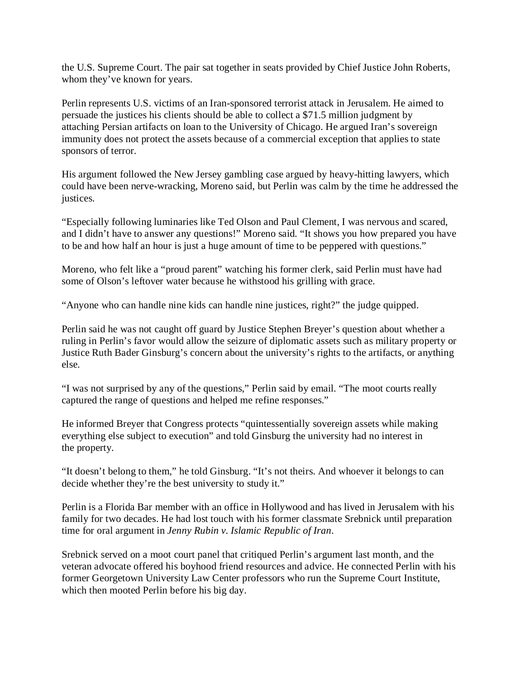the U.S. Supreme Court. The pair sat together in seats provided by Chief Justice John Roberts, whom they've known for years.

Perlin represents U.S. victims of an Iran-sponsored terrorist attack in Jerusalem. He aimed to persuade the justices his clients should be able to collect a \$71.5 million judgment by attaching Persian artifacts on loan to the University of Chicago. He argued Iran's sovereign immunity does not protect the assets because of a commercial exception that applies to state sponsors of terror.

His argument followed the New Jersey gambling case argued by heavy-hitting lawyers, which could have been nerve-wracking, Moreno said, but Perlin was calm by the time he addressed the justices.

"Especially following luminaries like Ted Olson and Paul Clement, I was nervous and scared, and I didn't have to answer any questions!" Moreno said. "It shows you how prepared you have to be and how half an hour is just a huge amount of time to be peppered with questions."

Moreno, who felt like a "proud parent" watching his former clerk, said Perlin must have had some of Olson's leftover water because he withstood his grilling with grace.

"Anyone who can handle nine kids can handle nine justices, right?" the judge quipped.

Perlin said he was not caught off guard by Justice Stephen Breyer's question about whether a ruling in Perlin's favor would allow the seizure of diplomatic assets such as military property or Justice Ruth Bader Ginsburg's concern about the university's rights to the artifacts, or anything else.

"I was not surprised by any of the questions," Perlin said by email. "The moot courts really captured the range of questions and helped me refine responses."

He informed Breyer that Congress protects "quintessentially sovereign assets while making everything else subject to execution" and told Ginsburg the university had no interest in the property.

"It doesn't belong to them," he told Ginsburg. "It's not theirs. And whoever it belongs to can decide whether they're the best university to study it."

Perlin is a Florida Bar member with an office in Hollywood and has lived in Jerusalem with his family for two decades. He had lost touch with his former classmate Srebnick until preparation time for oral argument in *Jenny Rubin v. Islamic Republic of Iran*.

Srebnick served on a moot court panel that critiqued Perlin's argument last month, and the veteran advocate offered his boyhood friend resources and advice. He connected Perlin with his former Georgetown University Law Center professors who run the Supreme Court Institute, which then mooted Perlin before his big day.